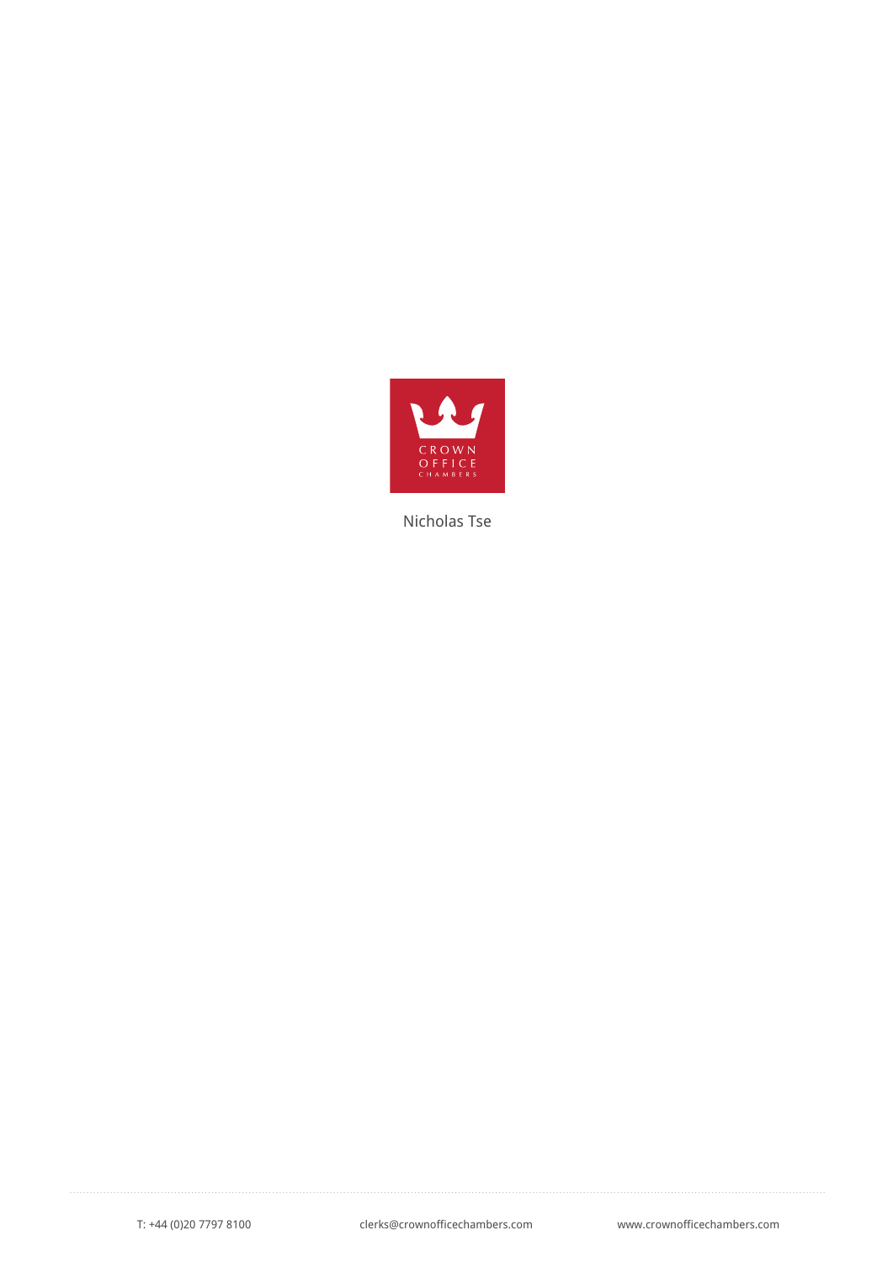

Nicholas Tse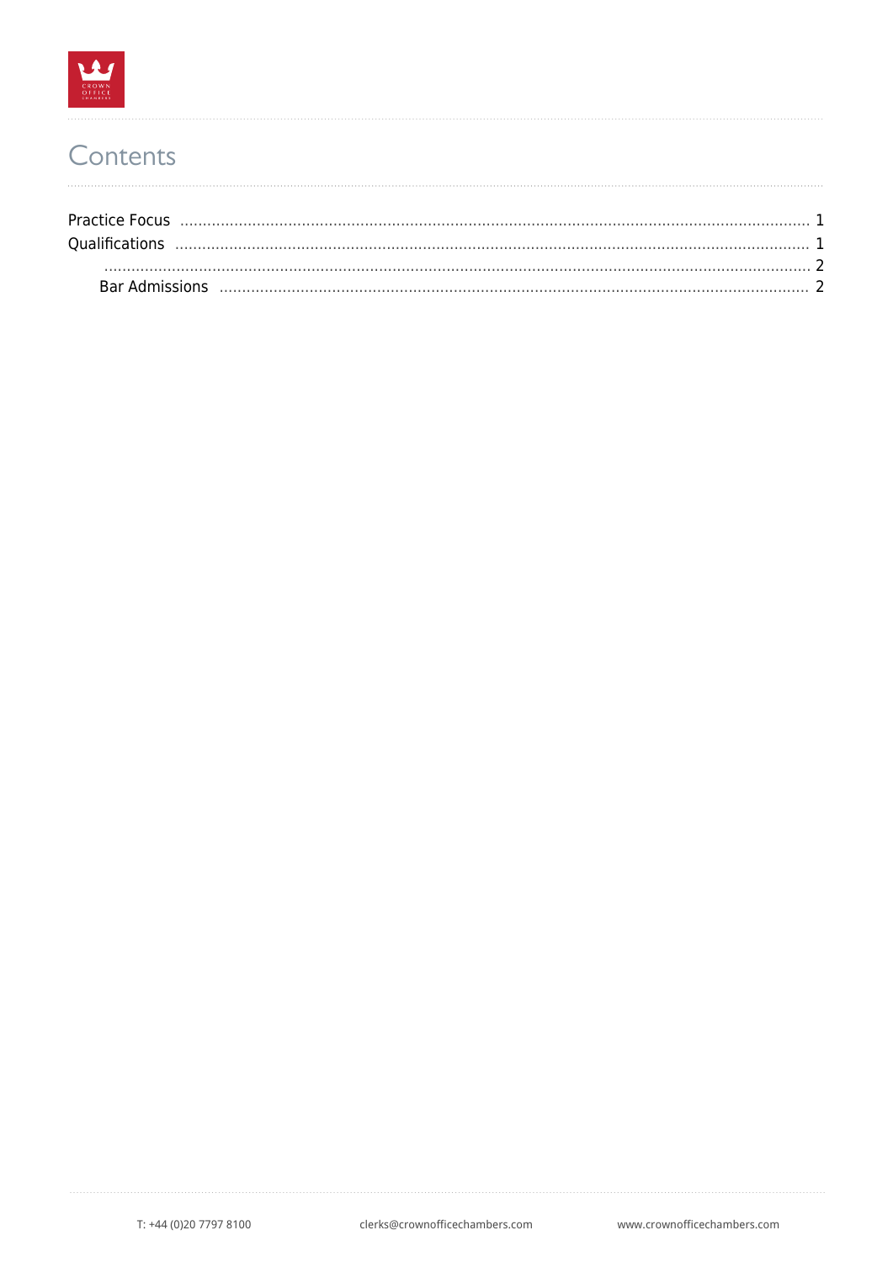

## Contents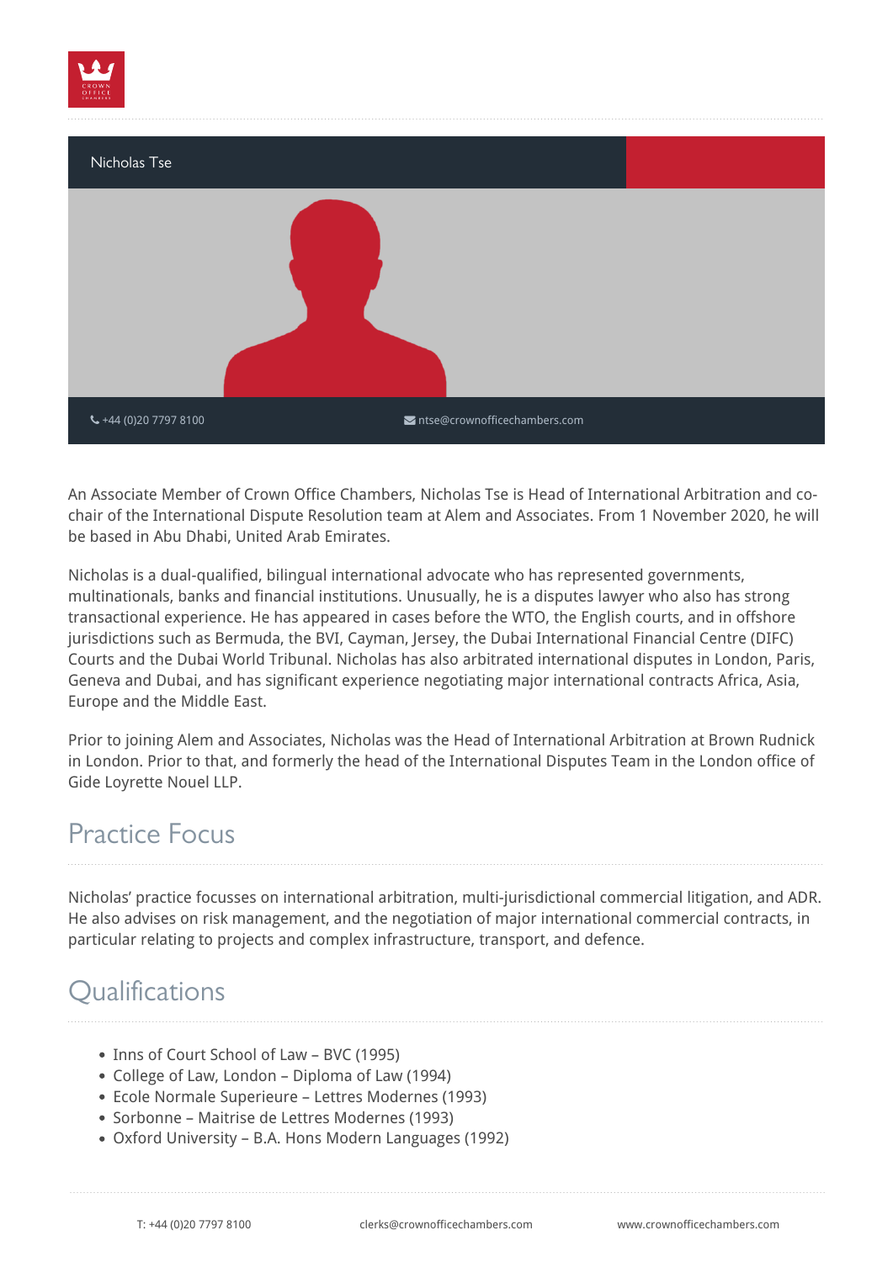



An Associate Member of Crown Office Chambers, Nicholas Tse is Head of International Arbitration and cochair of the International Dispute Resolution team at Alem and Associates. From 1 November 2020, he will be based in Abu Dhabi, United Arab Emirates.

Nicholas is a dual-qualified, bilingual international advocate who has represented governments, multinationals, banks and financial institutions. Unusually, he is a disputes lawyer who also has strong transactional experience. He has appeared in cases before the WTO, the English courts, and in offshore jurisdictions such as Bermuda, the BVI, Cayman, Jersey, the Dubai International Financial Centre (DIFC) Courts and the Dubai World Tribunal. Nicholas has also arbitrated international disputes in London, Paris, Geneva and Dubai, and has significant experience negotiating major international contracts Africa, Asia, Europe and the Middle East.

Prior to joining Alem and Associates, Nicholas was the Head of International Arbitration at Brown Rudnick in London. Prior to that, and formerly the head of the International Disputes Team in the London office of Gide Loyrette Nouel LLP.

## <span id="page-2-0"></span>Practice Focus

Nicholas' practice focusses on international arbitration, multi-jurisdictional commercial litigation, and ADR. He also advises on risk management, and the negotiation of major international commercial contracts, in particular relating to projects and complex infrastructure, transport, and defence.

## <span id="page-2-1"></span>**Oualifications**

- Inns of Court School of Law BVC (1995)
- College of Law, London Diploma of Law (1994)
- Ecole Normale Superieure Lettres Modernes (1993)
- Sorbonne Maitrise de Lettres Modernes (1993)
- Oxford University B.A. Hons Modern Languages (1992)